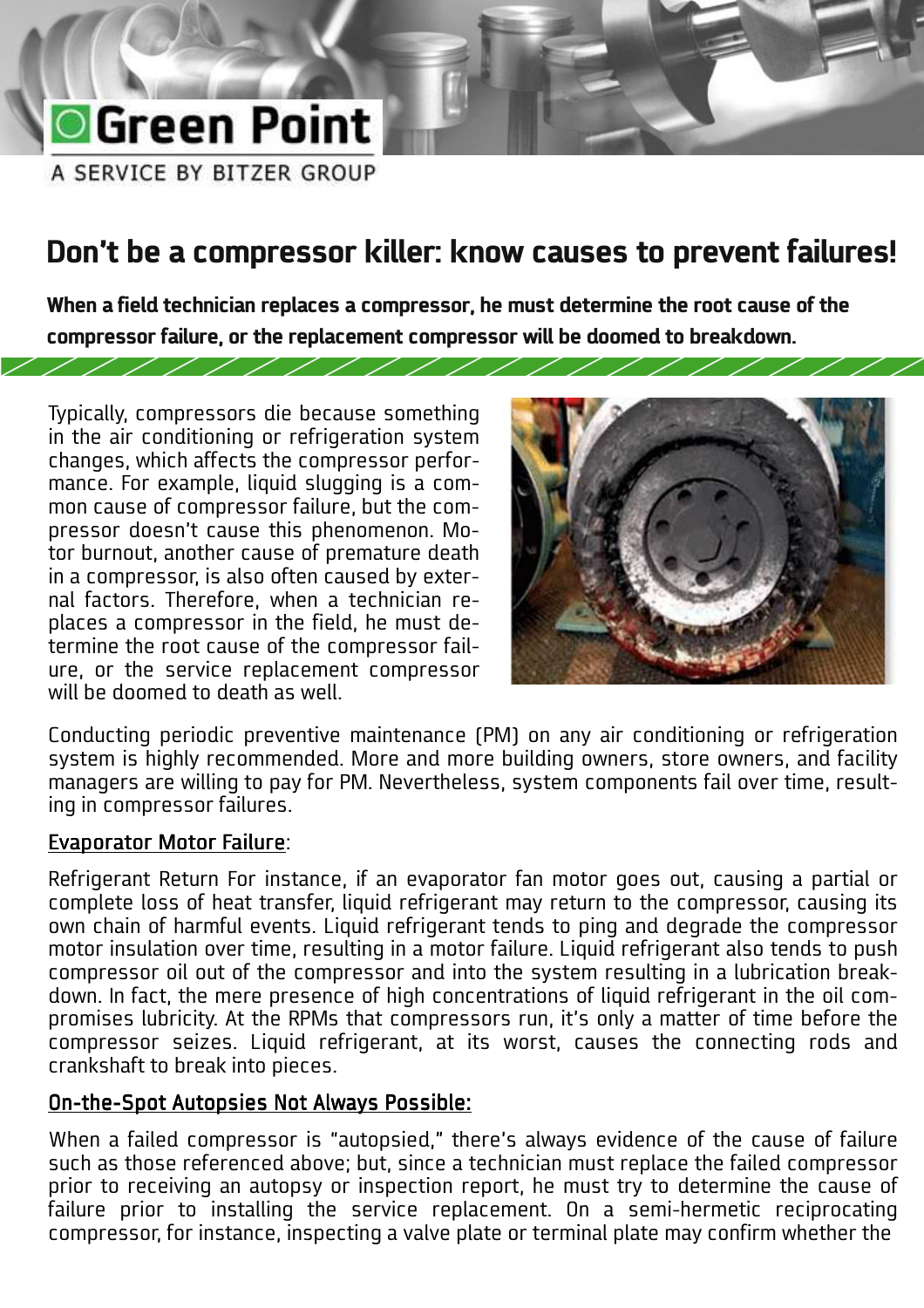# **O**Green Point

A SERVICE BY BITZER GROUP

### **Don't be a compressor killer: know causes to prevent failures!**

**When a field technician replaces a compressor, he must determine the root cause of the compressor failure, or the replacement compressor will be doomed to breakdown.** 

Typically, compressors die because something in the air conditioning or refrigeration system changes, which affects the compressor performance. For example, liquid slugging is a common cause of compressor failure, but the compressor doesn't cause this phenomenon. Motor burnout, another cause of premature death in a compressor, is also often caused by external factors. Therefore, when a technician replaces a compressor in the field, he must determine the root cause of the compressor failure, or the service replacement compressor will be doomed to death as well.

////////////



 $\overline{\phantom{a}}$ 

Conducting periodic preventive maintenance (PM) on any air conditioning or refrigeration system is highly recommended. More and more building owners, store owners, and facility managers are willing to pay for PM. Nevertheless, system components fail over time, resulting in compressor failures.

### Evaporator Motor Failure:

Refrigerant Return For instance, if an evaporator fan motor goes out, causing a partial or complete loss of heat transfer, liquid refrigerant may return to the compressor, causing its own chain of harmful events. Liquid refrigerant tends to ping and degrade the compressor motor insulation over time, resulting in a motor failure. Liquid refrigerant also tends to push compressor oil out of the compressor and into the system resulting in a lubrication breakdown. In fact, the mere presence of high concentrations of liquid refrigerant in the oil compromises lubricity. At the RPMs that compressors run, it's only a matter of time before the compressor seizes. Liquid refrigerant, at its worst, causes the connecting rods and crankshaft to break into pieces.

### On-the-Spot Autopsies Not Always Possible:

When a failed compressor is "autopsied," there's always evidence of the cause of failure such as those referenced above; but, since a technician must replace the failed compressor prior to receiving an autopsy or inspection report, he must try to determine the cause of failure prior to installing the service replacement. On a semi-hermetic reciprocating compressor, for instance, inspecting a valve plate or terminal plate may confirm whether the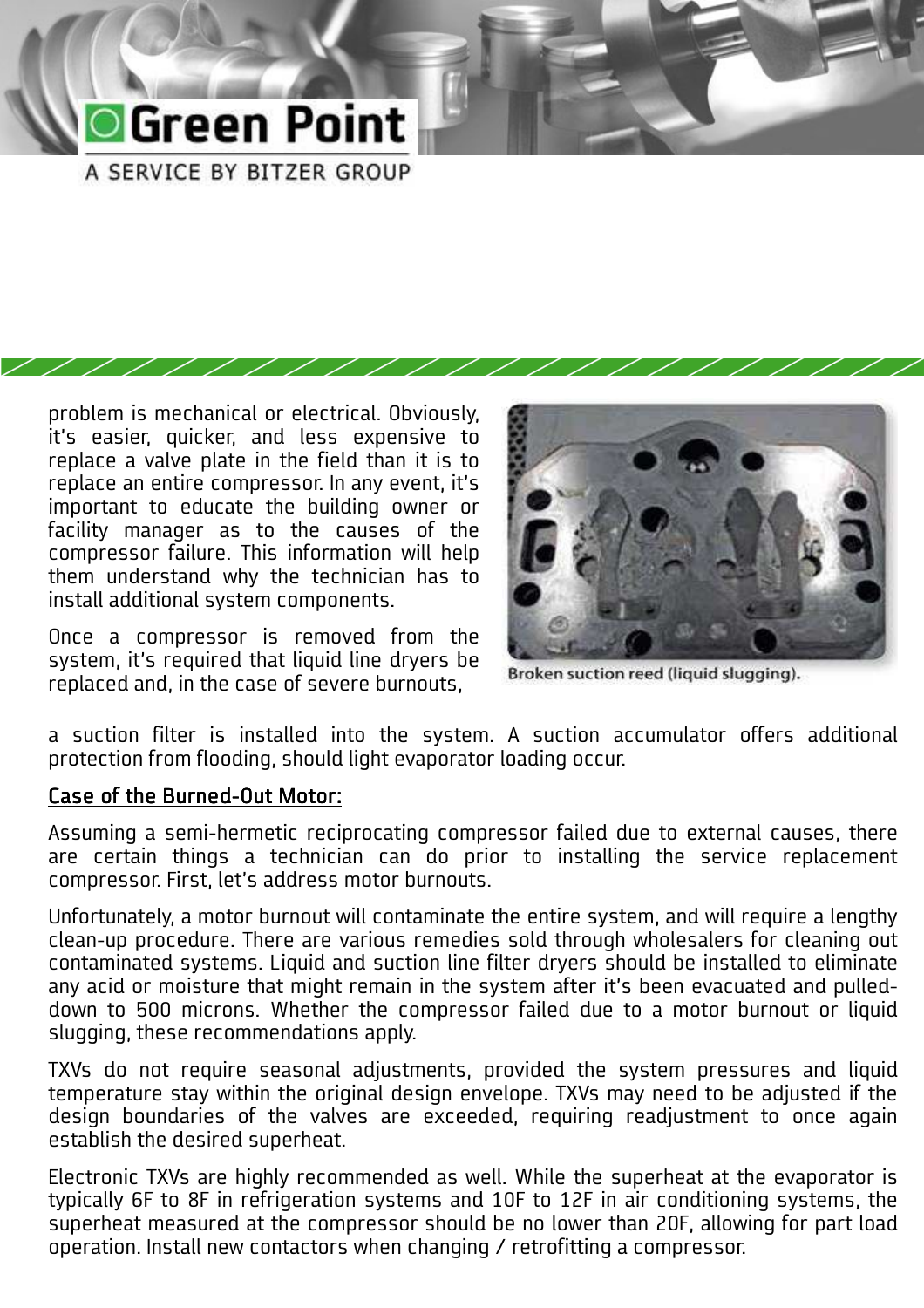### **O**Green Point A SERVICE BY BITZER GROUP

problem is mechanical or electrical. Obviously, it's easier, quicker, and less expensive to replace a valve plate in the field than it is to replace an entire compressor. In any event, it's important to educate the building owner or facility manager as to the causes of the compressor failure. This information will help them understand why the technician has to install additional system components.

Once a compressor is removed from the system, it's required that liquid line dryers be replaced and, in the case of severe burnouts,

Broken suction reed (liquid slugging).

a suction filter is installed into the system. A suction accumulator offers additional protection from flooding, should light evaporator loading occur.

### Case of the Burned-Out Motor:

Assuming a semi-hermetic reciprocating compressor failed due to external causes, there are certain things a technician can do prior to installing the service replacement compressor. First, let's address motor burnouts.

Unfortunately, a motor burnout will contaminate the entire system, and will require a lengthy clean-up procedure. There are various remedies sold through wholesalers for cleaning out contaminated systems. Liquid and suction line filter dryers should be installed to eliminate any acid or moisture that might remain in the system after it's been evacuated and pulleddown to 500 microns. Whether the compressor failed due to a motor burnout or liquid slugging, these recommendations apply.

TXVs do not require seasonal adjustments, provided the system pressures and liquid temperature stay within the original design envelope. TXVs may need to be adjusted if the design boundaries of the valves are exceeded, requiring readjustment to once again establish the desired superheat.

Electronic TXVs are highly recommended as well. While the superheat at the evaporator is typically 6F to 8F in refrigeration systems and 10F to 12F in air conditioning systems, the superheat measured at the compressor should be no lower than 20F, allowing for part load operation. Install new contactors when changing / retrofitting a compressor.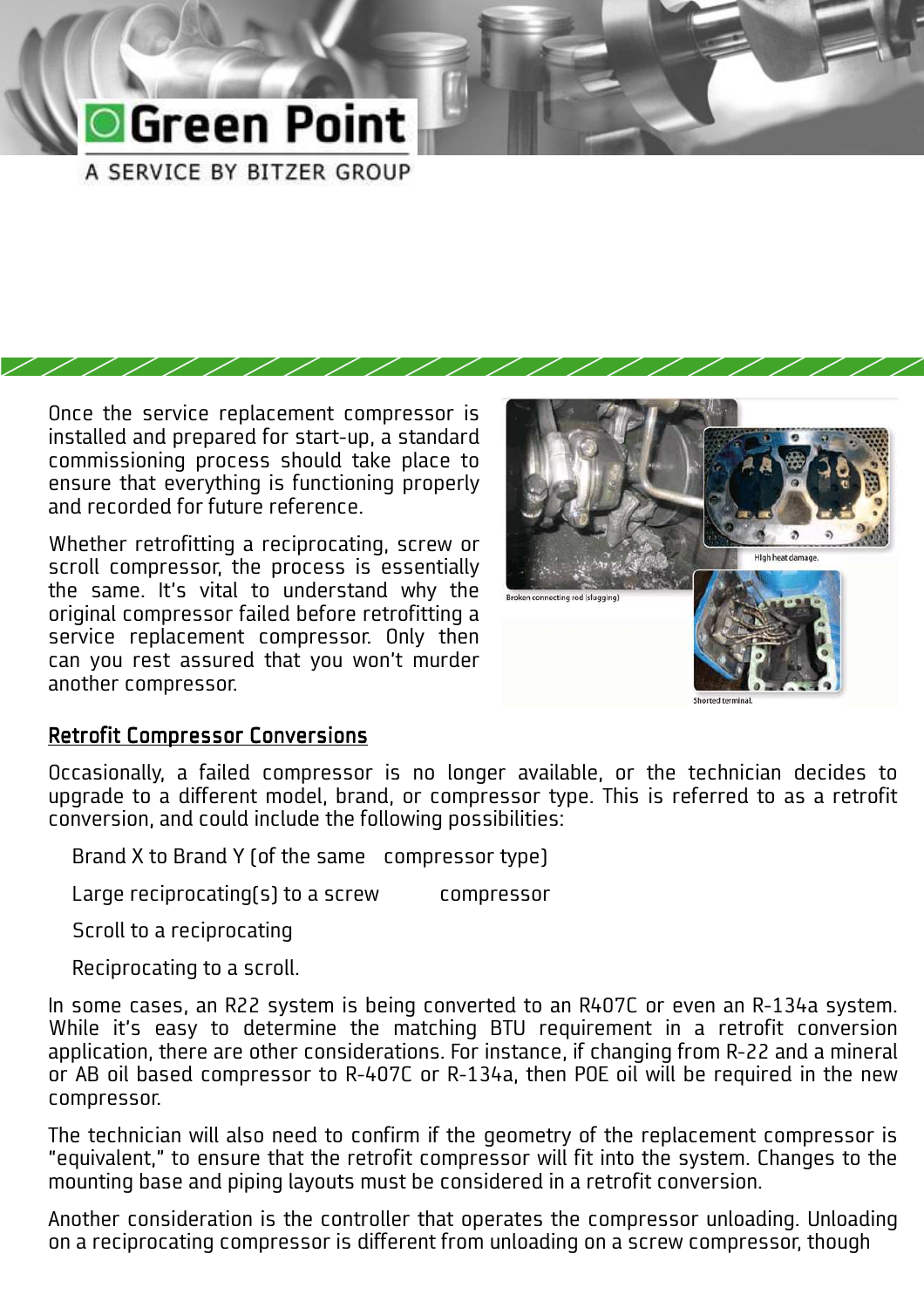### **O**Green Point A SERVICE BY BITZER GROUP

Once the service replacement compressor is installed and prepared for start-up, a standard commissioning process should take place to ensure that everything is functioning properly and recorded for future reference.

Whether retrofitting a reciprocating, screw or scroll compressor, the process is essentially the same. It's vital to understand why the original compressor failed before retrofitting a service replacement compressor. Only then can you rest assured that you won't murder another compressor.



### Retrofit Compressor Conversions

Occasionally, a failed compressor is no longer available, or the technician decides to upgrade to a different model, brand, or compressor type. This is referred to as a retrofit conversion, and could include the following possibilities:

Brand X to Brand Y (of the same compressor type)

Large reciprocating(s) to a screw compressor

Scroll to a reciprocating

Reciprocating to a scroll.

In some cases, an R22 system is being converted to an R407C or even an R-134a system. While it's easy to determine the matching BTU requirement in a retrofit conversion application, there are other considerations. For instance, if changing from R-22 and a mineral or AB oil based compressor to R-407C or R-134a, then POE oil will be required in the new compressor.

The technician will also need to confirm if the geometry of the replacement compressor is "equivalent," to ensure that the retrofit compressor will fit into the system. Changes to the mounting base and piping layouts must be considered in a retrofit conversion.

Another consideration is the controller that operates the compressor unloading. Unloading on a reciprocating compressor is different from unloading on a screw compressor, though